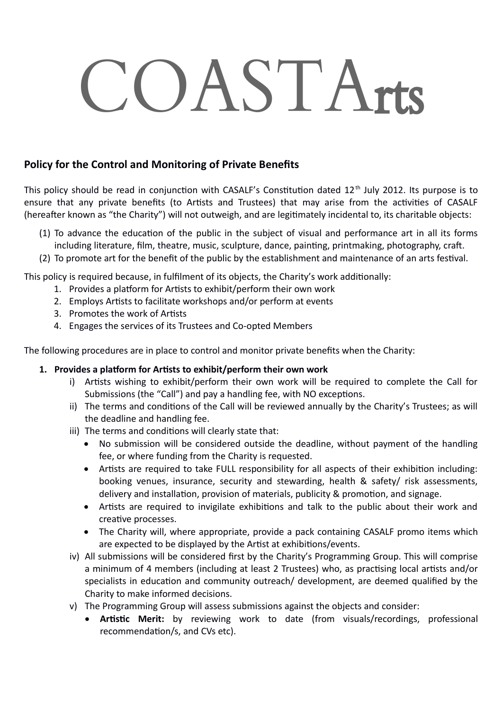# COASTArts

# **Policy for the Control and Monitoring of Private Benefits**

This policy should be read in conjunction with CASALF's Constitution dated 12<sup>th</sup> July 2012. Its purpose is to ensure that any private benefits (to Artists and Trustees) that may arise from the activities of CASALF (hereafter known as "the Charity") will not outweigh, and are legitimately incidental to, its charitable objects:

- (1) To advance the education of the public in the subject of visual and performance art in all its forms including literature, film, theatre, music, sculpture, dance, painting, printmaking, photography, craft.
- (2) To promote art for the benefit of the public by the establishment and maintenance of an arts festival.

This policy is required because, in fulfilment of its objects, the Charity's work additionally:

- 1. Provides a platform for Artists to exhibit/perform their own work
- 2. Employs Artists to facilitate workshops and/or perform at events
- 3. Promotes the work of Artists
- 4. Engages the services of its Trustees and Co-opted Members

The following procedures are in place to control and monitor private benefits when the Charity:

# **1. Provides a platform for Artists to exhibit/perform their own work**

- i) Artists wishing to exhibit/perform their own work will be required to complete the Call for Submissions (the "Call") and pay a handling fee, with NO exceptions.
- ii) The terms and conditions of the Call will be reviewed annually by the Charity's Trustees; as will the deadline and handling fee.
- iii) The terms and conditions will clearly state that:
	- No submission will be considered outside the deadline, without payment of the handling fee, or where funding from the Charity is requested.
	- Artists are required to take FULL responsibility for all aspects of their exhibition including: booking venues, insurance, security and stewarding, health & safety/ risk assessments, delivery and installation, provision of materials, publicity & promotion, and signage.
	- Artists are required to invigilate exhibitions and talk to the public about their work and creative processes.
	- The Charity will, where appropriate, provide a pack containing CASALF promo items which are expected to be displayed by the Artist at exhibitions/events.
- iv) All submissions will be considered first by the Charity's Programming Group. This will comprise a minimum of 4 members (including at least 2 Trustees) who, as practising local artists and/or specialists in education and community outreach/ development, are deemed qualified by the Charity to make informed decisions.
- v) The Programming Group will assess submissions against the objects and consider:
	- **Artistic Merit:** by reviewing work to date (from visuals/recordings, professional recommendation/s, and CVs etc).